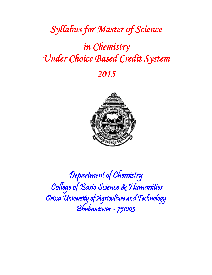# *Syllabus for Master of Science*

# *in Chemistry Under Choice Based Credit System*

# *2015*



Department of Chemistry College of Basic Science & Humanities Orissa University of Agriculture and Technology Bhubaneswar - 751003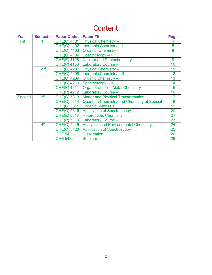# **Content**

| Year         | <b>Semester</b> | <b>Paper Code</b>              | <b>Paper Title</b>                                | Page             |
|--------------|-----------------|--------------------------------|---------------------------------------------------|------------------|
| <b>First</b> | 1 <sup>st</sup> | <b>CHE(C) 4101</b>             | <b>Physical Chemistry-I</b>                       |                  |
|              |                 | <b>CHE(C) 4102</b>             | Inorganic Chemistry - I                           | 5                |
|              |                 | <b>CHE(C) 4103</b>             | Organic Chemistry - I                             | 6                |
|              |                 | 4104<br>CHE(C)                 | Spectroscopy-1                                    |                  |
|              |                 | 4105<br>CHE(E)                 | <b>Nuclear and Photochemistry</b>                 | 8                |
|              |                 | CHE(P)<br>4106                 | Laboratory Course - I                             | 10               |
|              | 2 <sub>nd</sub> | 4207<br>CHE(C)                 | <b>Physical Chemistry - II</b>                    | 11               |
|              |                 | <b>CHE(C) 4208</b>             | Inorganic Chemistry - II                          | 12 <sub>2</sub>  |
|              |                 | 4209<br>CHE(C)                 | <b>Organic Chemistry - II</b>                     | 13               |
|              |                 | CHE(C)<br>4210                 | Spectroscopy - II                                 | 14               |
|              |                 | CHE(E)<br>4211                 | <b>Organotransition Metal Chemistry</b>           | 15 <sub>15</sub> |
|              |                 | CHE(P)<br>4212                 | <b>Laboratory Course - II</b>                     | 16               |
| Second       | 3rd             | 5313<br>CHE(C)                 | <b>Matter and Physical Transformation</b>         | 17               |
|              |                 | CHE(C)<br>5314                 | <b>Quantum Chemistry and Chemistry of Special</b> | 18               |
|              |                 | 5315<br>CHE <sub>(</sub><br>C) | <b>Organic Synthesis</b>                          | 19               |
|              |                 | 5316<br>CHE(C)                 | Application of Spectroscopy - I                   | 20               |
|              |                 | 5317<br>CHE(E)                 | <b>Heterocyclic Chemistry</b>                     | 21               |
|              |                 | CHE(P)<br>5318                 | <b>Laboratory Course - III</b>                    | 23               |
|              | 4 <sup>th</sup> | <b>CHE(C) 5419</b>             | <b>Analytical and Environmental Chemistry</b>     | 24               |
|              |                 | <b>CHE(C) 5420</b>             | Application of Spectroscopy - II                  | 25               |
|              |                 | <b>CHE 5421</b>                | <b>Dissertation</b>                               | 26               |
|              |                 | <b>CHE 5422</b>                | <b>Seminar</b>                                    | 26               |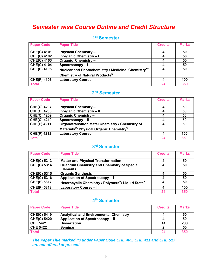# *Semester wise Course Outline and Credit Structure*

| <b>Paper Code</b>  | <b>Paper Title</b>                                 | <b>Credits</b> | <b>Marks</b> |
|--------------------|----------------------------------------------------|----------------|--------------|
| <b>CHE(C) 4101</b> | <b>Physical Chemistry - I</b>                      |                | 50           |
| <b>CHE(C) 4102</b> | Inorganic Chemistry - I                            |                | 50           |
| <b>CHE(C) 4103</b> | Organic Chemistry - I                              |                | 50           |
| <b>CHE(C) 4104</b> | Spectroscopy-I                                     |                | 50           |
| <b>CHE(E) 4105</b> | Nuclear and Photochemistry / Medicinal Chemistry*/ |                | 50           |
|                    | <b>Chemistry of Natural Products*</b>              |                |              |
| <b>CHE(P) 4106</b> | Laboratory Course - I                              |                | 100          |
| <b>Total</b>       |                                                    | 24             | 350          |

# **1st Semester**

# **2nd Semester**

| <b>Paper Code</b>  | <b>Paper Title</b>                              | <b>Credits</b> | <b>Marks</b> |
|--------------------|-------------------------------------------------|----------------|--------------|
| <b>CHE(C) 4207</b> | <b>Physical Chemistry - II</b>                  |                | 50           |
| <b>CHE(C) 4208</b> | <b>Inorganic Chemistry - II</b>                 |                | 50           |
| <b>CHE(C) 4209</b> | <b>Organic Chemistry - II</b>                   |                | 50           |
| <b>CHE(C) 4210</b> | Spectroscopy - II                               |                | 50           |
| <b>CHE(E) 4211</b> | Organotransition Metal Chemistry / Chemistry of |                | 50           |
|                    | Materials*/ Physical Organic Chemistry*         |                |              |
| <b>CHE(P) 4212</b> | <b>Laboratory Course - II</b>                   |                | 100          |
| <b>Total</b>       |                                                 |                | 350          |

# **3rd Semester**

| <b>Paper Code</b>  | <b>Paper Title</b>                                | <b>Credits</b> | <b>Marks</b> |
|--------------------|---------------------------------------------------|----------------|--------------|
| <b>CHE(C) 5313</b> | <b>Matter and Physical Transformation</b>         | 4              | 50           |
| <b>CHE(C) 5314</b> | <b>Quantum Chemistry and Chemistry of Special</b> | Δ              | 50           |
|                    | <b>Elements</b>                                   |                |              |
| <b>CHE(C) 5315</b> | <b>Organic Synthesis</b>                          |                | 50           |
| <b>CHE(C) 5316</b> | Application of Spectroscopy-I                     |                | 50           |
| <b>CHE(E) 5317</b> | Heterocyclic Chemistry / Polymers*/ Liquid State* | Δ              | 50           |
| <b>CHE(P) 5318</b> | <b>Laboratory Course - III</b>                    |                | 100          |
| <b>Total</b>       |                                                   | 24             | 350          |

## **4th Semester**

| <b>Paper Code</b>  | <b>Paper Title</b>                            | <b>Credits</b> | <b>Marks</b> |
|--------------------|-----------------------------------------------|----------------|--------------|
| <b>CHE(C) 5419</b> | <b>Analytical and Environmental Chemistry</b> |                | -50          |
| <b>CHE(C) 5420</b> | Application of Spectroscopy - II              |                | -50          |
| <b>CHE 5421</b>    | <b>Dissertation</b>                           | 14             | 200          |
| <b>CHE 5422</b>    | <b>Seminar</b>                                |                | 50           |
| <b>Total</b>       |                                               |                | 350          |

*The Paper Title marked (\*) under Paper Code CHE 405, CHE 411 and CHE 517 are not offered at present.*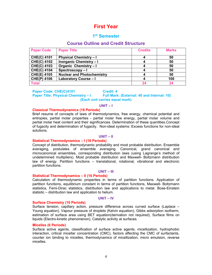# **First Year**

### **1st Semester**

### **Course Outline and Credit Structure**

| <b>Paper Code</b>  | <b>Paper Title</b>                | <b>Credits</b> | <b>Marks</b> |
|--------------------|-----------------------------------|----------------|--------------|
| <b>CHE(C) 4101</b> | <b>Physical Chemistry - I</b>     |                | 50           |
| <b>CHE(C) 4102</b> | <b>Inorganic Chemistry - I</b>    |                | 50           |
| <b>CHE(C) 4103</b> | <b>Organic Chemistry - I</b>      |                | 50           |
| <b>CHE(C) 4104</b> | Spectroscopy-I                    |                | 50           |
| <b>CHE(E) 4105</b> | <b>Nuclear and Photochemistry</b> |                | 50           |
| <b>CHE(P) 4106</b> | Laboratory Course - I             |                | 100          |
| <b>Total</b>       |                                   |                | 24           |

#### **Paper Code: CHE(C)4101 Credit: 4 Paper Title: Physical Chemistry – I Full Mark: (External: 40 and Internal: 10) (Each unit carries equal mark)**

#### **UNIT – I**

#### **Classical Thermodynamics (16 Periods)**

Brief resume of concepts of laws of thermodynamics, free energy, chemical potential and entropies, partial molar properties - partial molar free energy, partial molar volume and partial molar heat content and their significances. Determination of these quantities.Concept of fugacity and determination of fugacity. Non-ideal systems: Excess functions for non-ideal solutions.

#### **UNIT – II**

#### **Statistical Thermodynamics – I (16 Periods)**

Concept of distribution, thermodynamic probability and most probable distribution. Ensemble averaging, postulates of ensemble averaging. Canonical, grand canonical and microcanonical ensembles, corresponding distribution laws (using Lagrange's method of undetermined multipliers). Most probable distribution and Maxwell- Boltzmann distribution law of energy. Partition functions – translational, rotational, vibrational and electronic partition functions.

#### **UNIT – III**

### **Statistical Thermodynamics – II (16 Periods)**

Calculation of thermodynamic properties in terms of partition functions. Application of partition functions, equilibrium constant in terms of partition functions, Maxwell- Boltzmann statistics, Femi-Dirac statistics, distribution law and applications to metal. Bose-Einstein statistic – distribution law and application to helium.

#### **UNIT – IV**

#### **Surface Chemistry (10 Periods)**

Surface tension, capillary action, pressure difference across curved surface (Laplace – Young equation), Vapour pressure of droplets (Kelvin equation), Gibbs adsorption isotherm, estimation of surface area using BET equation(derivation not required), Surface films on liquids (Electro-kinetic phenomenon), Catalytic activity at surfaces.

#### **Micelles (6 Periods)**

Surface active agents, classification of surface active agents, micellization, hydrophobic interaction, critical micellar concentration (CMC), factors affecting the CMC of surfactants, counter ion binding to micelles, thermodynamics of micellization, micro emulsion, reverse micelles.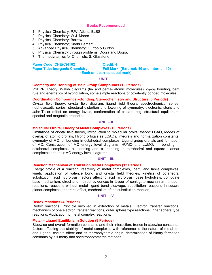- 1 Physical Chemistry; P.W. Atkins; ELBS.
- 2 Physical Chemistry; W.J. Moore.
- 3 Physical Chemistry; Barrow.
- 4 Physical Chemistry; Snehi Hemant.
- 5 Advanced Physical Chemistry; Gurtoo & Gurtoo.
- 6 Physical Chemistry through problems; Dogra and Dogra.
- 7 Thermodynamics for Chemists; S. Glasstone.

#### Paper Code: CHE(C)4102 **Credit: 4**

#### **Paper Title: Inorganic Chemistry – I Full Mark: (External: 40 and Internal: 10) (Each unit carries equal mark)**

#### **UNIT – I**

#### **Geometry and Bonding of Main Group Compounds (12 Periods)**

VSEPR Theory, Walsh diagrams (tri- and penta- atomic molecules),  $d_{\pi}$ - $p_{\pi}$  bonding, bent rule and energetics of hybridization, some simple reactions of covalently bonded molecules.

#### **Coordination Compounds –Bonding, Stereochemistry and Structure (8 Periods)**

Crystal field theory, crystal field diagram, ligand field theory, spectrochemical series, nephelauxetic series, structural distortion and lowering of symmetry, electronic, steric and Jahn-Teller effect on energy levels, conformation of chelate ring, structural equilibrium, spectral and magnetic properties.

#### **UNIT – II**

#### **Molecular Orbital Theory of Metal Complexes (16 Periods)**

Limitations of crystal field theory, Introduction to molecular orbital theory: LCAO, Modes of overlap of atomic orbitals, Hybrid orbitals as LCAOs, Integrals and normalization constants, symmetry of MO, σ- bonding in octahedral complexes; Ligand group orbitals and formation of MO, Construction of MO energy level diagrams, HUMO and LUMO, π- bonding in octahedral complexes, σ- bonding and π- bonding in tetrahedral and square plannar complexes and their MO energy level diagrams.

#### **UNIT – III.**

#### **Reaction Mechanism of Transition Metal Complexes (12 Periods)**

Energy profile of a reaction, reactivity of metal complexes, inert and labile complexes, kinetic application of valence bond and crystal field theories, kinetics of octahedral substitution, acid hydrolysis, factors affecting acid hydrolysis, base hydrolysis, conjugate base mechanism, direct and indirect evidences in favour of conjugate mechanism, anation reactions, reactions without metal ligand bond cleavage, substitution reactions in square planar complexes, the trans effect, mechanism of the substitution reaction,

#### **UNIT – IV**

#### **Redox reactions (4 Periods)**

Redox reactions: Principle involved in extraction of metals, Electron transfer reactions, mechanism of one electron transfer reactions, outer sphere type reactions, inner sphere type reactions, Application to metal complex reactions.

#### **Metal – Ligand Equilibria in Solution (8 Periods)**

Stepwise and overall formation constants and their interaction, trends in stepwise constants, factors affecting the stability of metal complexes with reference to the nature of metal ion and Ligand, chelate effect and its thermodynamic origin, determination of binary formation constants by pH metry and spectrophotometric methods.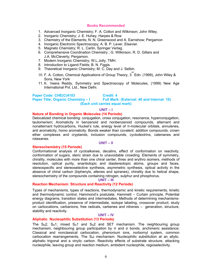- 1. Advanced Inorganic Chemistry; F. A. Cotton and Wilkinson; John Wiley.
- 2. Inorganic Chemistry; J. E. Huhey, Harpes & Row
- 3. Chemistry of the Elements; N. N. Greenwood and A. Earnshow; Pergamon
- 4. Inorganic Electronic Spectroscopy; A. B. P. Lever, Elsevier.
- 5. Magneto Chemistry; R. L. Carlin, Springer Verlag.
- 6. Comprehensive Coordination Chemistry ; G. Wilkinson, R. D. Gillars and J.A. McCleverty; Pergamon.
- 7. Modern Inorganic Chemistry; W.L.Jolly, TMH.
- 8. Introduction to Ligand Fields; B. N. Figgis.
- 9. Theoretical Inorganic Chemistry; M. C. Day and J. Selbin.
- 10. F. A. Cotton, Chemical Applications of Group Theory,  $3^{rd}$  Edn. (1999), John Wiley & Sons, New York
- 11. K. Veera Reddy, Symmetry and Spectroscopy of Molecules, (1999) New Age International Pvt. Ltd., New Delhi.

#### **Paper Code: CHE(C)4103 Credit: 4<br>
Paper Title: Organic Chemistry - I Full Mark Full Mark: (External: 40 and Internal: 10) (Each unit carries equal mark)**

#### **UNIT – I**

#### **Nature of Bonding in Organic Molecules (14 Periods)**

Delocalized chemical bonding: conjugation, cross conjugation, resonance, hyperconjugation, tautomerism; Aromaticity in benzenoid and nonbenzenoid compounds, alternant and nonalternant hydrocarbons, Huckel's rule, energy level of π-molecular orbitals, annulenes, anti aromaticity, homo aromaticity. Bonds weaker than covalent: addition compounds, crown ether complexes and cryptands, inclusion compounds, cyclodextrins, catenanes and rotaxanes.

#### **UNIT – II**

#### **Stereochemistry (15 Periods)**

Conformational analysis of cycloalkanes, decalins, effect of conformation on reactivity, conformation of sugars, steric strain due to unavoidable crowding. Elements of symmetry, chirality, molecules with more than one chiral center, threo and erythro isomers, methods of resolution, optical purity, enantiotopic and diastereotopic atoms, groups and faces, stereospecific and stereoselective synthesis, asymmetric synthesis, optical activity in the absence of chiral carbon (biphenyls, allenes and spiranes), chirality due to helical shape, stereochemistry of the compounds containing nitrogen, sulphur and phosphorus.

#### **UNIT – III**

#### **Reaction Mechanism: Structure and Reactivity (12 Periods)**

Types of mechanisms, types of reactions, thermodynamic and kinetic requirements, kinetic and thermodynamic control, Hammond's postulate, Hammett – Curtain principle, Potential energy diagrams, transition states and intermediates, Methods of determining mechanismsproduct identification, presence of intermediate, isotope labeling, crossover product; study on carbocations, carbanions, free radicals, carbenes and nitrenes – generation, structure, stability and reactivity.

#### **UNIT – IV**

#### **Aliphatic Nucleophilic Substitution (13 Periods)**

The  $S_{N2}$ ,  $S_{N1}$ , mixed  $S_{N1}$  and  $S_{N2}$  and SET mechanism. The neighbouring group mechanism, neighbouring group participation by  $π$  and  $σ$  bonds, anchimeric assistance; Classical and nonclassical carbocation, phenonium ions, norbornyl system, common carbocation rearrangements, The  $S_N$ i mechanism. Nucleophilic substitution at an allylic. aliphatic trigonal and a vinylic carbon. Reactivity effects of substrate structure, attacking nucleophile, leaving group and reaction medium, ambident nucleophile, regioselectivity.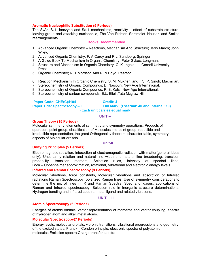#### **Aromatic Nucleophilic Substitution (5 Periods)**

The  $S_NAT$ ,  $S_N1$ , benzyne and  $S_{RN}1$  mechanisms, reactivity – effect of substrate structure, leaving group and attacking nucleophile, The Von Richter, Sommelet–Hauser, and Smiles rearrangements.

#### **Books Recommended**

- 1 Advanced Organic Chemistry Reactions, Mechanism And Structure; Jerry March; John Wiley.
- 2 Advanced Organic Chemistry; F. A Carey and R.J. Sundberg; Springer
- 3 A Guide Book To Mechanism In Organic Chemistry; Peter Sykes; Longman.
- 4 Structure and Mechanism In Organic Chemistry; C. K. Ingold; Cornell University Press .
- 5 Organic Chemistry; R. T Morrison And R. N Boyd; Pearson
- . 6 Reaction Mechanism In Organic Chemistry; S. M. Mukherji and S. P. Singh; Macmillan.
- 7 Stereochemistry of Organic Compounds; D. Nasipuri; New Age International.
- 8 Stereochemistry of Organic Compounds; P. S. Kalsi; New Age International.
- 9 Stereochemistry of carbon compounds; E.L. Eliel ;Tata Mcgraw Hill

 **Paper Code: CHE(C)4104 Credit: 4 Paper Title: Spectroscopy – I Full Mark: (External: 40 and Internal: 10)** 

**(Each unit carries equal mark)** 

#### **UNIT – I**

#### **Group Theory (15 Periods)**

.

Molecular symmetry, elements of symmetry and symmetry operations, Products of operation, point group, classification of Molecules into point group, reducible and irreducible representation, the great Orthogonality theorem, character table, symmetry aspects of Molecular orbitals.

#### **Unit-II**

#### **Unifying Principles (5 Periods)**

Electromagnetic radiation, interaction of electromagnetic radiation with matter(general ideas only). Uncertainty relation and natural line width and natural line broadening, transition probability, transition moment, Selection rules, intensity of spectral lines, Born – Oppenheimer approximation, rotational, Vibrational and electronic energy levels.

#### **Infrared and Raman Spectroscopy (9 Periods)]**

Molecular vibrations, force constants, Molecular vibrations and absorption of Infrared radiations Raman Spectroscopy, polarized Raman lines, Use of symmetry considerations to determine the no. of lines in IR and Raman Spectra, Spectra of gases, applications of Raman and Infrared spectroscopy. Selection rule in Inorganic structure determinations, Hydrogen bonding and infrared spectra, metal ligand and related vibrations.

#### **UNIT – III**

#### **Atomic Spectroscopy (6 Periods)**

Energies of atomic orbitals, vector representation of momenta and vector coupling, spectra of hydrogen atom and alkali metal atoms.

#### **Molecular Spectroscopy(7 Periods)**

Energy levels, molecular orbitals, vibronic transitions, vibrational progressions and geometry of the excited states, Franck – Condon principle, electronic spectra of polyatomic molecules.Emission spectra.Charge transfer spectra.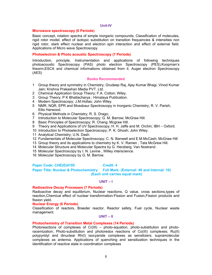#### **Unit-IV**

#### **Microwave spectroscopy (6 Periods)**

Basic concept, rotation spectra of simple inorganic compounds, Classification of molecules, rigid rotor model, effect of isotopic substitution on transition frequencies & intensities non rigid rotor, stark effect nuclear and electron spin interaction and effect of external field. Applications of Micro wave Spectroscopy

#### **Photoelectron & Photo acoustic Spectroscopy (7 Periods)**

Introduction, principle, Instrumentation and applications of following techniques photoacoustic Spectroscopy (PAS) photo electron Spectroscopy (PES),Koopman's theorm,ESCA and chemical informations obtained from it. Auger electron Spectroscopy (AES)

#### **Books Recommended**

- 1 Group theory and symmetry in Chemistry; Grudeep Raj, Ajay Kumar Bhagi, Vinod Kumar Jain; Krishna Prakashan Media PVT. Ltd.
- 2 Chemical Application Group Theory; F.A. Cotton; Wiley.
- 3 Group Theory; P K Bhattacharya ; Himalaya Publication.
- 4 Modern Spectroscopy; J.M.Hollas; John Wiley.
- 5 NMR, NQR, EPR and Mossbaur Spectroscopy in Inorganic Chemistry; R. V. Parish; Ellis Harwood.
- 6 Physical Methods in Chemistry; R. S. Drago; .
- 7 Introduction to Molecular Spectroscopy; G. M. Barrow; McGraw Hill.
- 8 Basic Principles of Spectroscopy; R. Chang; Mcgraw Hill.
- 9 Theory and Applications of UV Spectroscopy; H. H. Jaffe and M. Orchin; IBH Oxford.
- 10 Introduction to Photoelectron Spectroscopy; P. K. Ghosh; John Wiley.
- 11 Analytical Chemistry; U.N. Dash.
- 12 Fundamentals of Molecular Spectroscopy; C. N. Banwell and E.M.McCash; McGraw Hill
- 13 Group theory and its applications to chemistry by K. V. Ramen , Tata McGrew Hill.
- 14 Molecular Structure and Molecular Spectra by G. Herzberg, Van Nostrand .
- 15 Molecular Spectroscopy by I. N. Levine , Willey interscience.
- 16 Molecular Spectroscopy by G. M. Barrow.

#### **Paper Code: CHE(E)4105 Credit: 4**

Paper Title: Nuclear & Photochemistry Full Mark: (External: 40 and Internal: 10)  **(Each unit carries equal mark)**

#### **UNIT – I**

#### **Radioactive Decay Processes (7 Periods)**

Radioactive decay and equilibrium, Nuclear reactions, Q value, cross sections,types of reaction,Chemical effect of nuclear transformation-Fission and Fusion,Fission products and fission yield.

#### **Nuclear Energy (6 Periods)**

Classification of reactors, Breeder reactor, Reactor safety, Fuel cycle, Nuclear waste management.

#### **UNIT – II**

#### **Photochemistry of Transition Metal Complexes (14 Periods)**

Photoreactions of complexes of Cr(III) – photo-aquation, photo-substitution and photoracemization; Photo-substitution and photoredox reactions of Co(III) complexes; Ru(II) polypyridyl and dinuclear Rh(I) isocyanide complexes as sensitizers; supramolecular complexes as antenna. Applications of quenching and sensitization techniques in the identification of reactive state in coordination complexes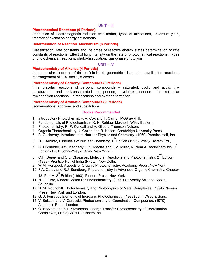#### **UNIT – III**

#### **Photochemical Reactions (6 Periods)**

Interaction of electromagnetic radiation with matter, types of excitations, quantum yield, transfer of excitation energy,actinometry

#### **Determination of Reaction Mechanism (8 Periods)**

Classification, rate constants and life times of reactive energy states determination of rate constants of reactions. Effect of light intensity on the rate of photochemical reactions. Types of photochemical reactions, photo-dissociation, gas-phase photolysis

#### **UNIT – IV**

#### **Photochemistry of Alkenes (4 Periods)**

Intramolecular reactions of the olefinic bond- geometrical isomerism, cyclisation reactions, rearrangement of 1, 4- and 1, 5-dienes.

#### **Photochemistry of Carbonyl Compounds (6Periods)**

Intramolecular reactions of carbonyl compounds – saturated, cyclic and acylic  $β, γ$ unsaturated and  $\alpha,\beta$ -unsaturated compounds, cyclohexadienones. Intermolecular cycloaddition reactions – dimerisations and oxetane formation.

#### **Photochemistry of Aromatic Compounds (2 Periods)**

Isomerisations, additions and substitutions.

#### **Books Recommended**

- 1 Introductory Photochemistry; A. Cox and T. Camp, McGraw-Hill.
- 2 Fundamentals of Photochemistry; K. K. Rohtagi-Mukherji; Wiley Eastern.
- 3 Photochemistry; R. P. Kundall and A. Gilbert, Thomson Nelson.
- 4 Organic Photochemistry; J. Coxon and B. Halton, Cambridge University Press
- 5 B. G. Harvey, Introduction to Nuclear Physics and Chemistry, (1969) Prentice Hall, Inc.
- 6 H.J. Arnikar, Essentials of Nuclear Chemistry, 4 th Edition (1995), Wiely-Eastern Ltd.,
- $7$   $\,$  G. Fridlander, J.W. Kennedy, E.S. Macias and J.M. Miller, Nuclear & Radiochemistry,  $3^{^{\sf{rd}}}$ Edition (1981) John-Wiley & Sons, New York. .
- 8  $\,$  C.H. Depuy and O.L. Chapman, Molecular Reactions and Photochemistry,  $2^{nd}$  Edition (1988), Prentice-Hall of India (P) Ltd., New Delhi.
- 9 W.M. Horspool, Aspects of Organic Photochemistry, Academic Press, New York.
- 10 F.A. Carey and R.J. Sundberg, Photochemistry in Advanced Organic Chemistry, Chapter
	- 13, Part A,  $3^{rd}$  Edition (1990), Plenum Press, New York.
- 11 N. J. Turro, Modern Molecular Photochemistry, (1991) University Science Books, Sausalito.
- 12 D. M. Roundhill, Photochemistry and Photophysics of Metal Complexes, (1994) Plenum Press, New York and London.
- 13 G. J. Ferraudi, Elements of Inorganic Photochemistry, (1988) John Wiley & Sons.
- 14 V. Balzani and V. Carassiti, Photochemistry of Coordination Compounds, (1970) Academic Press, London.
- 15 O. Horvath and K.L. Stevenson, Charge Transfer Photochemistry of Coordination Complexes, (1993) VCH Publishers Inc.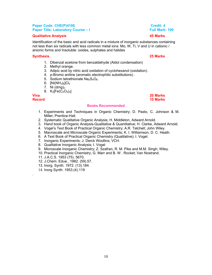#### **Paper Code: CHE(P)4106 Credit: 4 Credit: 4 Credit: 4 Paper Title: Laboratory Course – I Full Mark: 100**  Full Mark: 100

#### **Qualitative Analysis 45 Marks**

Identification of the basic and acid radicals in a mixture of inorganic substances containing not less than six radicals with less common metal ions: Mo, W, Ti, V and U in cationic / anionic forms and Insoluble: oxides, sulphates and halides

#### **Synthesis 25 Marks**

- 1. Dibenzal acetone from benzaldehyde (Aldol condensation)
- 2. Methyl orange.
- 3. Adipic acid by nitric acid oxidation of cyclohexanol (oxidation).
- 4. p-Bromo aniline (aromatic electrophilic substitutions) .
- 5. Sodium tetrathionate  $Na<sub>2</sub>S<sub>4</sub>O<sub>6</sub>$ .
- 6.  $[Ni(NH_3)_6]Cl_2$
- 7. Ni  $(dmg)_2$
- 8.  $K_3[Fe(C_2O_4)_3]$

**Viva 20 Marks** 

.

# **Record 10 Marks**

### **Books Recommended**

- 1. Experiments and Techniques in Organic Chemistry; D. Pasto, C. Johnson & M. Miller; Prentice-Hall.
- 2. Systematic Qualitative Organic Analysis; H. Middleton, Adward Arnold.
- 3. Hand book of Organic Analysis-Qualitative & Quantitative; H. Clarke, Adward Arnold.
- 4. Vogel's Text Book of Practical Organic Chemistry; A.R. Tatchell; John Wiley.
- 5. Macroscale and Microscale Organic Experiments; K. I. Williamson, D. C. Heath.
- 6. A Text Book of Practical Organic Chemistry (Qualitative); I. Vogel.
- 7. Inorganic Experiments; J. Derck Woollins; VCH.
- 8. Qualitative Inorganic Analysis; I. Vogel
- 9. Microscale Inorganic Chemistry; Z. Szafran, R. M. Pike and M.M. Singh; Wiley.
- 10. Practical Inorganic Chemistry; G. Marr and B. W . Rocket; Van Nostrand.
- 11. J.A.C.S. 1953 (75). 5670.
- 12. J.Chem. Edue., 1982. (59).57.
- 13. Inorg. Synth. 1972. (13).184.
- 14. Inorg Synth. 1953.(4).119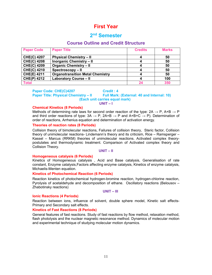# **First Year**

## **2nd Semester**

### **Course Outline and Credit Structure**

| <b>Paper Code</b>  | <b>Paper Title</b>                      | <b>Credits</b> | <b>Marks</b> |
|--------------------|-----------------------------------------|----------------|--------------|
| <b>CHE(C) 4207</b> | <b>Physical Chemistry - II</b>          |                | 50           |
| <b>CHE(C) 4208</b> | <b>Inorganic Chemistry - II</b>         |                | 50           |
| <b>CHE(C) 4209</b> | <b>Organic Chemistry - II</b>           |                | 50           |
| <b>CHE(C) 4210</b> | Spectroscopy - II                       |                | 50           |
| <b>CHE(E) 4211</b> | <b>Organotransition Metal Chemistry</b> |                | 50           |
| <b>CHE(P) 4212</b> | <b>Laboratory Course - II</b>           |                | 100          |
| <b>Total</b>       |                                         | 24             | 350          |

### **Paper Code: CHE(C)4207 Credit : 4**

**Paper Title: Physical Chemistry – II Full Mark: (External: 40 and Internal: 10) (Each unit carries equal mark)**

#### **UNIT – I**

#### **Chemical Kinetics (8 Periods)**

Methods of determining rate laws for second order reaction of the type:  $2A \rightarrow P$ , A+B  $\rightarrow P$ and third order reactions of type:  $3A \rightarrow P$ ,  $2A+B \rightarrow P$  and  $A+B+C \rightarrow P$ ). Determination of order of reactions, Arrhenius equation and determination of activation energy.

#### **Theories of reaction rates (8 Periods)**

Collision theory of bimolecular reactions, Failures of collision theory, Steric factor, Collision theory of unimolecular reactions- Lindemann's theory and its criticism, Rice – Ramsperger – Kassel – Marcus (RRKM) theories of unimolecular reactions. Activated complex theorypostulates and thermodynamic treatment. Comparison of Activated complex theory and Collision Theory.

#### **UNIT – II**

#### **Homogeneous catalysis (6 Periods)**

Kinetics of Homogeneous catalysis , Acid and Base catalysis, Generalisation of rate constant, Enzyme catalysis,Factors affecting enzyme catalysis, Kinetics of enzyme catalysis, Michaelis-Menten equation.

#### **Kinetics of Photochemical Reaction (6 Periods)**

Reaction kinetics of photochemical hydrogen-bromine reaction, hydrogen-chlorine reaction, Pyrolysis of acetaldehyde and decomposition of ethane. Oscillatory reactions (Belousov – Zhabotinsky reactions)

#### **UNIT – III**

#### **Ionic Reactions (4 Periods)**

Reaction between ions, influence of solvent, double sphere model, Kinetic salt effects-Primary and Secondary salt effects.

#### **Kinetics of Fast Reactions (8 Periods)**

General features of fast reactions. Study of fast reactions by flow method, relaxation method, flash photolysis and the nuclear magnetic resonance method. Dynamics of molecular motion and experimental technique of studying molecular motion dynamics.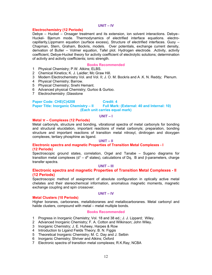#### **UNIT – IV**

#### **Electrochemistry (12 Periods)**

Debye – Huckel – Onsager treatment and its extension, ion solvent interactions. Debye– Huckel- Bjerrum mode. Thermodynamics of electrified interface equations. electrocapillarity,Lippmann equation (surface excess), Structure of electrified interfaces. Guoy – Chapman, Stern, Graham, Bockris, models. Over potentials, exchange current density, derivation of Butler – Volmer equation, Tafel plot. Hydrogen electrode. .Activity, activity coefficient, Debye-Huckel theory for activity coefficient of electrolytic solutions; determination of activity and activity coefficients; ionic strength.

#### **Books Recommended**

- 1 Physical Chemistry; P.W. Atkins; ELBS.
- 2 Chemical Kinetics; K. J. Laidler; Mc Graw Hill.
- 3 Modern Electrochemistry Vol. and Vol. II; J. O. M. Bockris and A .K. N. Reddy; Plenum.
- 4 Physical Chemistry; Barrow.
- 5 Physical Chemistry; Snehi Hemant.
- 6 Advanced physical Chemistry; Gurtoo & Gurtoo.
- 7 Electrochemistry ;Glasstone

#### **Paper Code: CHE(C)4208 Credit: 4 Paper Title: Inorganic Chemistry – II Full Mark: (External: 40 and Internal: 10) (Each unit carries equal mark)**

#### **UNIT – I**

#### **Metal π – Complexes (12 Periods)**

Metal carbonyls, structure and bonding, vibrational spectra of metal carbonyls for bonding and structural elucidation, important reactions of metal carbonyls; preparation, bonding structure and important reactions of transition metal nitrosyl, dinitrogen and dioxygen complexes, tertiary phosphine as ligand.

#### **UNIT – II**

### **Electronic spectra and magnetic Properties of Transition Metal Complexes - I (12 Periods)**

Spectroscopic ground states, correlation, Orgel and Tanabe – Sugano diagrams for transition metal complexes (d<sup>1</sup> – d<sup>9</sup> states), calculations of Dq, B and β-parameters, charge transfer spectra.

#### **UNIT – III**

#### **Electronic spectra and magnetic Properties of Transition Metal Complexes - II (12 Periods)**

Spectroscopic method of assignment of absolute configuration in optically active metal chelates and their stereochemical information, anomalous magnetic moments, magnetic exchange coupling and spin crossover.

#### **UNIT – IV**

#### **Metal Clusters (10 Periods)**

Higher boranes, carboranes, metalloboranes and metallocarboranes. Metal carbonyl and halide clusters, compound with metal – metal multiple bonds.

#### **Books Recommended**

- 1 Progress in Inorganic Chemistry; Vol. 18 and 38 ed.; J. J. Lippard; Wiley.
- 2 Advanced Inorganic Chemistry; F. A. Cotton and Wilkinson; John Wiley.
- 3 Inorganic Chemistry; J. E. Huheey, Harpes & Row
- 4 Introduction to Ligand Fields Theory; B. N. Figgis
- 5 Theoretical Inorganic Chemistry; M. C. Day and J. Selbin
- 6 Inorganic Chemistry; Shriver and Atkins; Oxford
- 7 Electronic spectra of transition metal complexes; R.K.Ray; NCBA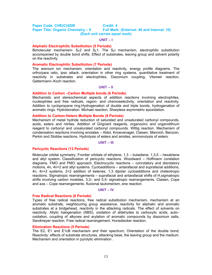#### Paper Code: CHE(C)4209 **Credit: 4 Paper Title: Organic Chemistry – II Full Mark: (External: 40 and Internal: 10) (Each unit carries equal mark)**

#### **UNIT – I**

#### **Aliphatic Electrophilic Substitution (5 Periods)**

Bimolecular mechanism-  $S_F2$  and  $S_F1$ . The  $S_Fi$  mechanism, electrophilic substitution accompanied by double bond shifts. Effect of substrates, leaving group and solvent polarity on the reactivity.

#### **Aromatic Electrophilic Substitution (7 Periods)**

The arenium ion mechanism, orientation and reactivity, energy profile diagrams. The ortho/para ratio, ipso attack, orientation in other ring systems, quantitative treatment of reactivity in substrates and electrophiles, Diazonium coupling, Vilsmeir reaction, Gattermann–Koch reaction.

#### **UNIT – II**

#### **Addition to Carbon –Carbon Multiple bonds (6 Periods)**

Mechanistic and stereochemical aspects of addition reactions involving electrophiles, nucleophiles and free radicals, region- and chemoselectivity, orientation and reactivity. Addition to cyclopropane ring.Hydrogenation of double and triple bonds, hydrogenation of aromatic rings. Hydroboration. Michael reaction, Sharpless asymmetric epoxidation.

#### **Addition to Carbon-Hetero Multiple Bonds (9 Periods)**

Mechanism of metal hydride reduction of saturated and unsaturated carbonyl compounds, acids, esters and nitriles. Addition of Grignard reagents, organozinc and organolithium reagent to carbonyl and unsaturated carbonyl compounds. Wittig reaction. Mechanism of condensation reactions involving enolates – Aldol, Knoevenagel, Claisen, Mannich, Benzoin, Perkin and Stobbe reactions. Hydrolysis of esters and amides, ammonolysis of esters.

#### **UNIT – III**

#### **Pericyclic Reactions (13 Periods)**

Molecular orbital symmetry, Frontier orbitals of ethylene, 1,3 – butadiene, 1,3,5 – hexatriene and allyl system. Classification of pericyclic reactions. Woodward – Hoffmann corelation diagrams. FMO and PMO approach. Electrocyclic reactions – conrotatory and disrotatory motions, 4n, 4n+2 and allyl systems. Cycloadditions – antarafacial and suprafacial additions, 4n, 4n+2 systems, 2+2 addition of ketenes, 1,3 dipolar cycloadditions and cheleotropic reactions. Sigmatropic rearrangements – suprafacial and antarafacial shifts of H,sigmatropic shifts involving carbon moieties, 3,3– and 5,5- sigmatropic rearrangements. Claisen, Cope and aza – Cope rearrangements. fluxional tautomerism, ene reaction.

#### **UNIT – IV**

#### **Free Radical Reactions (8 Periods)**

Types of free radical reactions, free radical substitution mechanism, mechanism at an aromatic substrate, neighbouring group assistance, reactivity for aliphatic and aromatic substrates at a bridgehead, reactivity in the attacking radicals. The effect of solvents on reactivity. Allylic halogenation (NBS), oxidation of aldehydes to carboxylic acids, auto– oxidation, coupling of alkynes and arylation of aromatic compounds by diazonium salts, Sandmeyer reaction. Free radical rearrangement. Hunsdiecker reaction.

#### **Elimination Reactions (5 Periods)**

The E2, E1 and E1cB mechanism and their spectrum; Orientation of the double bond; Reactivity: effects of substrate structures, attacking base, the leaving group and the medium. Mechanism and orientation in pyrolytic elimination .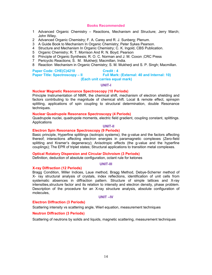- 1 Advanced Organic Chemistry Reactions, Mechanism and Structure; Jerry March; John Wiley.
- 2 Advanced Organic Chemistry; F. A. Carey and R. J. Sunberg; Plenum.
- 3 A Guide Book to Mechanism In Organic Chemistry; Peter Sykes Pearson.
- 4 Structure and Mechanism In Organic Chemistry; C. K. Ingold, CBS Publication.
- 5 Organic Chemistry; R. T. Morrison And R. N. Boyd; Pearson
- 6 Principle of Organic Synthesis; R. O. C. Norman and J. M. Coxon ;CRC Press
- 7 Pericyclic Reactions; S. M. Mukherji; Macmillan, India.
- 8 Reaction Mechanism in Organic Chemistry; S. M. Mukherji and S. P. Singh; Macmillan.

#### **Paper Code: CHE(C)4210 Credit : 4**

Paper Title: Spectroscopy – II Full Mark: (External: 40 and Internal: 10)

#### **(Each unit carries equal mark)**

#### **UNIT-I**

#### **Nuclear Magnetic Resonance Spectroscopy (10 Periods)**

Principle Instrumentation of NMR, the chemical shift, mechanism of electron shielding and factors contributing to the magnitude of chemical shift. Local & remote effect, spinspin splitting, applications of spin coupling to structural determination, double Resonance techniques.

#### **Nuclear Quadrupole Resonance Spectroscopy (4 Periods)**

Quadrupole nuclei, quadrupole moments, electric field gradient, coupling constant, splittings. **Applications** 

## **UNIT-II**

### **Electron Spin Resonance Spectroscopy (9 Periods)**

Basic principle, Hyperfine splittings (isotropic systems); the g-value and the factors affecting thereof; interactions affecting electron energies in paramagnetic complexes (Zero-field splitting and Kramer's degeneracy); Anisotropic effects (the g-value and the hyperfine couplings); The EPR of triplet states; Structural applications to transition metal complexes.

#### **Optical Rotatory Dispersion and Circular Dichroism (3 Periods)**

Definition, deduction of absolute configuration, octant rule for ketones

#### **UNIT-III**

#### **X-ray Diffraction (12 Periods)**

Bragg Condition, Miller Indices, Laue method, Bragg Method, Debye-Scherrer method of X- ray structural analysis of crystals, index reflections, identification of unit cells from systematic absences in diffraction pattern. Structure of simple lattices and X-ray intensities,structure factor and its relation to intensity and electron density, phase problem. Description of the procedure for an X-ray structure analysis, absolute configuration of molecules,

#### **UNIT –IV**

#### **Electron Diffraction (3 Periods)**

Scattering intensity vs scattering angle, Wierl equation, measurement techniques

#### **Neutron Diffraction (3 Periods)**

Scattering of neutrons by solids and liquids, magnetic scattering, measurement techniques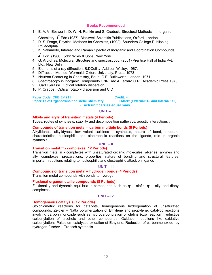- 1 E. A. V. Ebsworth, D. W. H. Rankin and S. Cradock, Structural Methods in Inorganic Chemistry, 1<sup>st</sup> Edn.(1987), Blackwell Scientific Publications, Oxford, London.
- 2 R. S. Drago, Physical Methods for Chemists, (1992), Saunders College Publishing, Philadelphia.
- 3 K. Nakamoto, Infrared and Raman Spectra of Inorganic and Coordination Compounds,  $4^{^{\mathrm{th}}}$ Edn. (1986), John Wiley & Sons, New York.
	-
- 4 G. Aruldhas, Molecular Structure and spectroscopy, (2001) Prentice Hall of India Pvt. Ltd., New Delhi.
- 5 Elements of x-ray diffraction, B.DCullity, Addison Wisley, 1967.
- 6 Diffraction Method, Wormald, Oxford University, Press, 1973
- 7 Neutron Scattering in Chemistry, Baun, G.E. Butleworth, London, 1971.
- 8 Spectroscopy in Inorganic Compounds CNR Rao & Ferraro G.R., Academic Press,1970.
- 9 Carl Djerassi ; Optical rotatory dispersion.
- 10 P. Crabbe : Optical rotatory dispersion and C.D

Paper Code: CHE(E)4211 **Credit: 4** Credit: 4<br>Paper Title: Organotransition Metal Chemistry Full Mark: (External: 40 and Internal: 10) **Paper Title: Organotransition Metal Chemistry (Each unit carries equal mark)**

#### **UNIT – I**

#### **Alkyls and aryls of transition metals (4 Periods)**

Types, routes of synthesis, stability and decomposition pathways, agostic interactions ,

#### **Compounds of transition metal – carbon multiple bonds (8 Periods)**

Alkylidenes, alkylidynes, low valent carbines – synthesis, nature of bond, structural characteristics, nucleophilic and electrophilic reactions on the ligands, role in organic synthesis.

#### **UNIT – II**

#### **Transition metal π - complexes (12 Periods)**

Transition metal π - complexes with unsaturated organic molecules, alkenes, alkynes and allyl complexes, preparations, properties, nature of bonding and structural features, important reactions relating to nucleophilic and electrophilic attack on ligands

#### **UNIT – III**

#### **Compounds of transition metal – hydrogen bonds (4 Periods)**

Transition metal compounds with bonds to hydrogen

#### **Fluxional organometallic compounds (8 Periods)**

Fluxionality and dynamic equilibria in compounds such as  $\eta^2$  – olefin,  $\eta^3$  – allyl and dienyl complexes

#### **UNIT – IV**

#### **Homogeneous catalysis (12 Periods)**

Stoichiometric reactions for catalysts, homogeneous hydrogenation of unsaturated compounds, Zeigler – Natta polymerization of Ethylene and propylene, catalytic reactions involving carbon monoxide such as hydrocarbonulation of olefins (oxo reaction), reductive carbonylation of alcohols and other compounds ,Oxidation reactions like oxidative carbonylations,Palladium catalysed oxidation of Ethylene, Reduction of carbonmonoxide by hydrogen Fischer – Tropsch synthesis.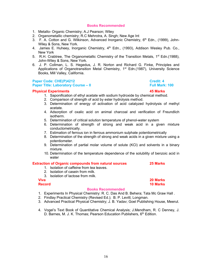- 1. Metallo- Organic Chemistry; A.J Pearson; Wiley
- 2. Organometallic chemistry; R.C Mehrotra, A. Singh; New Age Int
- 3. F. A. Cotton and G. Wilkinson, Advanced Inorganic Chemistry, 6<sup>th</sup> Edn., (1999), John-Wiley & Sons, New York.
- 4. James E. Huheey, Inorganic Chemistry, 4<sup>th</sup> Edn., (1993), Addison Wesley Pub. Co., New York
- 5. R.H. Crabtree, The Organometallic Chemistry of the Transition Metals,  $1^{st}$  Edn.(1988), John-Wiley & Sons, New York.
- 6. J. P. Collman, L. S. Hegedus, J. R. Norton and Richard G. Finke, Principles and Applications of Organotransition Metal Chemistry, 1<sup>st</sup> Edn.(1987), University Science Books, Mill Valley, California.

#### **Paper Code: CHE(P)4212 Credit: 4 Paper Title: Laboratory Course – II Full Mark: 100 Course – II Full Mark: 100**

#### **Physical Experiments 45 Marks**

- 1. Saponification of ethyl acetate with sodium hydroxide by chemical method.
- 2. Comparison of strength of acid by ester hydrolysis method.
- 3. Determination of energy of activation of acid catalyzed hydrolysis of methyl acetate.
- 4. Adsorption of oxalic acid on animal charcoal and verification of Freundlich isotherm.
- 5. Determination of critical solution temperature of phenol-water system
- 6. Determination of strength of strong and weak acid in a given mixture conductometrically.
- 7. Estimation of ferrous ion in ferrous ammonium sulphate potentiometrically
- 8. Determination of the strength of strong and weak acids in a given mixture using a potentiometer.
- 9. Determination of partial molar volume of solute (KCl) and solvents in a binary mixture.
- 10. Determination of the temperature dependence of the solubility of benzoic acid in water

#### **Extraction of Organic compounds from natural sources 25 Marks**

- 1. Isolation of caffeine from tea leaves.
- 2. Isolation of casein from milk.
- 3. Isolation of lactose from milk.

#### **Record 10 Marks Record**

#### **Books Recommended**

- 1. Experiments In Physical Chemistry: R. C. Das And B. Behera; Tata Mc Graw Hall .
- 2. Findlay Practical Chemistry (Revised Ed.); B. P. Levitt; Longman.
- 3. Advanced Practical Physical Chemistry; J. B. Yadav; Goel Publishing House, Meerut.
- 4. Vogel's Text Book of Quantitative Chemical Analysis; J.Mendham, R. C Denney, J. D. Barnes, M. J. K. Thomas; Pearson Education Publishers, 6<sup>th</sup> Edition.

# 16

**Viva 20 Marks**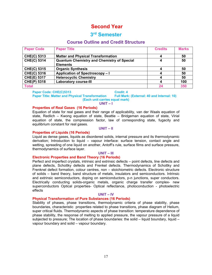# **Second Year**

# **3rd Semester**

### **Course Outline and Credit Structure**

| <b>Paper Code</b>  | <b>Paper Title</b>                                | <b>Credits</b> | <b>Marks</b> |
|--------------------|---------------------------------------------------|----------------|--------------|
| <b>CHE(C) 5313</b> | <b>Matter and Physical Transformation</b>         | 4              | 50           |
| <b>CHE(C) 5314</b> | <b>Quantum Chemistry and Chemistry of Special</b> | 4              | 50           |
|                    | <b>Elements</b>                                   |                |              |
| <b>CHE(C) 5315</b> | <b>Organic Synthesis</b>                          |                | 50           |
| <b>CHE(C) 5316</b> | Application of Spectroscopy-I                     | 4              | 50           |
| <b>CHE(E) 5317</b> | <b>Heterocyclic Chemistry</b>                     | 4              | 50           |
| <b>CHE(P) 5318</b> | <b>Laboratory course-III</b>                      | 4              | 100          |
| <b>Total</b>       |                                                   | 24             | 350          |

**Paper Title: Matter and Physical Transformation** 

Paper Code: CHE(C)5313 **Credit: 4** Credit: 4<br>Paper Title: Matter and Physical Transformation Full Mark: (External: 40 and Internal: 10) **(Each unit carries equal mark)** 

#### **UNIT – I**

#### **Properties of Real Gases (16 Periods)**

Equation of state for real gases and their range of applicability, van der Waals equation of state, Redlich – Kwong equation of state, Beattie – Bridgeman equation of state, Virial equation of state, the compression factor, law of corresponding state, fugacity and equilibrium constant for real gases.

#### **UNIT – II**

#### **Properties of Liquids (16 Periods)**

Liquid as dense gases, liquids as disordered solids, internal pressure and its thermodynamic derivation; Introduction to liquid – vapour interface: surface tension, contact angle and wetting, spreading of one liquid on another, Antoff's rule, surface films and surface pressure, thermodynamics of surface layer.

#### **UNIT – III**

#### **Electronic Properties and Band Theory (16 Periods)**

Perfect and imperfect crystals, intrinsic and extrinsic defects – point defects, line defects and plane defects, Schottky defects and Frenkel defects. Thermodynamics of Schottky and Frenknel defect formation, colour centres, non – stoichiometric defects. Electronic structure of solids – band theory, band structure of metals, insulators and semiconductors. Intrinsic and extrinsic semiconductors, doping on semiconductors, p-n junctions, super conductors. Electrically conducting solids-organic metals, organic charge transfer complex- new superconductors Optical properties- Optical reflectance, photoconduction - photoelectric effects

#### **UNIT – IV**

#### **Physical Transformation of Pure Substances (16 Periods)**

Stability of phases, phase transitions, thermodynamic criteria of phase stability, phase boundaries, characteristic properties related to phase transitions, phase diagram of Helium, super critical fluids. Thermodynamic aspects of phase transition: temperature dependence of phase stability, the response of melting to applied pressure, the vapour pressure of a liquid subjected to pressure; The location of phase boundaries: the solid – liquid boundary, liquid – vapour boundary and solid – vapour boundary.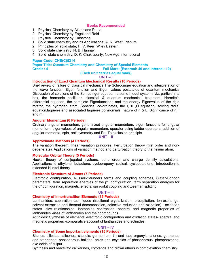- 1. Physical Chemistry by Atkins and Paula
- 2. Physical Chemistry by Engel and Reid
- 3. Physical Chemistry by Glasstone
- 1 Solid state chemistry and Its Applications; A. R. West, Plenum.
- 2 Principles of solid state; H. V. Keer, Wiley Eastern.
- 3 Solid state chemistry; N. B. Hannay.
- 4 Solid state chemistry; D. K. Chakrabarty; New Age International

#### **Paper Code: CHE(C)5314**

**Paper Title: Quantum Chemistry and Chemistry of Special Elements Credit : 4 Full Mark: (External: 40 and Internal: 10)** 

### **(Each unit carries equal mark)**

#### **UNIT – I**

#### **Introduction of Exact Quantum Mechanical Results (10 Periods)**

Brief review of failure of classical mechanics The Schrodinger equation and interpretation of the wave function. Eigen function and Eigen values postulates of quantum mechanics Discussion of solutions of the Schrodinger equation to some model systems viz. particle in a box, the harmonic oscillator. classical & quantum mechanical treatment, Hermite's differential equation, the complete Eigenfunctions and the energy Eigenvalue of the rigid rotator, the hydrogen atom. Spherical co-ordinates, the r,  $\theta$ ,  $\varnothing$  equation, solving radial equation,laguerre and associated laguerre polynomials, nature of n & L, Significance of n, l and m.

#### **Angular Momentum (6 Periods)**

Ordinary angular momentum, generalized angular momentum, eigen functions for angular momentum, eigenvalues of angular momentum, operator using ladder operators, addition of angular momenta, spin, anti symmetry and Pauli's exclusion principle.

**UNIT – II** 

#### **Approximate Methods (4 Periods)**

The variation theorem, linear variation principles. Perturbation theory (first order and nondegenerate). Applications of variation method and perturbation theory to the helium atom.

#### **Molecular Orbital Theory (5 Periods)**

Huckel theory of conjugated systems, bond order and charge density calculations. Applications to ethylene, butadiene, cyclopropenyl radical, cyclobutadiene. Introduction to extended Huckel theory

#### **Electronic Structure of Atoms (7 Periods)**

Electronic configuration, Russell-Saunders terms and coupling schemes, Slater-Condon parameters, term separation energies of the  $p<sup>n</sup>$  configuration, term separation energies for the d<sup>n</sup> configuration, magnetic effects: spin-orbit coupling and Zeeman splitting

#### **UNIT – III**

#### **Chemistry of Innertransition Elements (15 Periods)**

Lanthanides: separation techniques (fractional crystalization, precipitation, ion-exchange, solvent-extraction and thermal decomposition, selective reduction and oxidation) - oxidation states -size relationships -lanthanide contraction -spectral and magnetic properties of lanthanides -uses of lanthanides and their compounds.

Actinides: Synthesis of elements -electronic configuration and oxidation states- spectral and magnetic properties -comparative account of lanthanides and actinides.

#### **UNIT – IV**

#### **Chemistry of Some Important elements (15 Periods)**

Silanes, silicates, silicones, silanols; germanium, tin and lead organyls; silenes, germenes and stannenes; phosphorous halides, acids and oxyacids of phosphorous, phosphazenes; oxo acids of sulpur.

Synthesis and reactivity: calixarines, cryptands and crown ethers in complexation chemistry.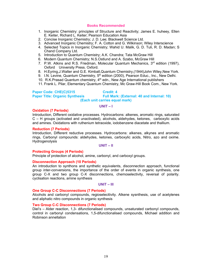- 1. Inorganic Chemistry: principles of Structure and Reactivity; James E. huheey, Ellen E. Keiter, Richard L. Keiter; Pearson Education Asia
- 2. Concise Inorganic Chemistry; J. D. Lee; Blackwell Science Ltd.
- 3. Advanced Inorganic Chemistry; F. A. Cotton and G. Wilkinson; Wiley Interscience
- 4. Selected Topics in Inorganic Chemistry; Wahid U. Malik, G. D. Tuli, R. D. Madan; S Chand Company Ltd.
- 5. Introduction to Quantum Chemistry; A.K. Chandra; Tata McGraw Hill
- 6. Modern Quantum Chemistry; N.S.Ostlund and A. Szabo, McGraw Hill
- 7. P.W. Atkins and R.S. Friedman, Molecular Quantum Mechanics,  $3<sup>rd</sup>$  edition (1997), Oxford University Press. Oxford.
- 8. H.Eyring,J.Walter and G.E. Kimball,Quantum Chemistry,(1944)John Wiley,New York.
- 9. I.N. Levine, Quantum Chemistry, 5<sup>th</sup> edition (2000), Pearson Educ., Inc., New Delhi.
- 10. R.K. Prasad Quantum chemistry,  $4<sup>th</sup>$  edn., New Age International publishers
- 11. Frank L. Pilar, Elementary Quantum Chemistry, Mc Graw-Hill Book Com., New York.

#### **Paper Code: CHE(C)5315 Credit: 4 Paper Title: Organic Synthesis Full Mark: (External: 40 and Internal: 10) (Each unit carries equal mark)**

#### **UNIT – I**

#### **Oxidation (7 Periods)**

Introduction, Different oxidative processes. Hydrocarbons: alkenes, aromatic rings, saturated C – H groups (activated and unactivated), alcohols, aldehydes, ketones, carboxylic acids and amines. Oxidations with ruthenium tetraoxide, iodobenzene diacetate and thallium.

#### **Reduction (7 Periods)**

Introduction, Different reductive processes. Hydrocarbons: alkenes, alkynes and aromatic rings, Carbonyl compounds: aldehydes, ketones, carboxylic acids, Nitro, azo and oxime. Hydrogenolysis

#### **UNIT – II**

#### **Protecting Groups (4 Periods)**

Principle of protection of alcohol, amine, carbonyl, and carboxyl groups.

#### **Disconnection Approach (10 Periods)**

An introduction to synthons and synthetic equivalents, disconnection approach, functional group inter-conversions, the importance of the order of events in organic synthesis, one group C-X and two group C-X disconnections, chemoselectivity, reversal of polarity. cyclisation reactions, amine synthesis

#### **UNIT – III**

#### **One Group C-C Disconnections (7 Periods)**

Alcohols and carbonyl compounds, regioselecitivity. Alkene sysnthesis, use of acetylenes and aliphatic nitro compounds in organic synthesis

#### **Two Group C-C Disconnections (7 Periods)**

Diel's – Alder reaction, 1,3- difunctionalised compounds, unsaturated carbonyl compounds, control in carbonyl condensations, 1,5-difunctionalised compounds, Michael addition and Robinson annellation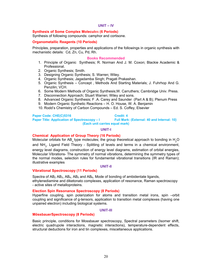#### **UNIT – IV**

#### **Synthesis of Some Complex Molecul**es **(6 Periods)**

Synthesis of following compounds: camphor and cortisone.

#### **Organometallic Reagents (10 Periods)**

Principles, preparation, properties and applications of the followings in organic synthesis with mechanistic details: Cd, Zn, Cu, Pd, Rh.

#### **Books Recommended**

- 1. Principle of Organic Synthesis; R. Norman And J. M. Coxon; Blackie Academic & Professional.
- 2. Organic Synthesis; Smith.
- 3. Designing Organic Synthesis; S. Warren; Wiley.
- 4. Organic Synthesis; Jagadamba Singh; Pragati Prakashan.
- 5. Organic Synthesis Concept , Methods And Starting Materials; J. Fuhrhop And G. Penzilin; VCH.
- 6. Some Modern Methods of Organic Synthesis;W. Carruthers; Cambridge Univ. Press.
- 7. Disconnection Approach; Stuart Warren; Wiley and sons.
- 8. Advanced Organic Synthesis; F .A. Carey and Saunder (Part A & B); Plenum Press
- 9. Modern Organic Synthetic Reactions H. O. House, W. A. Benjamin
- 10. Rodd's Chemistry of Carbon Compounds Ed. S. Coffey, Elsevier

#### **Paper Code: CHE(C)5316 Credit: 4**

**Paper Title: Application of Spectroscopy – I Full Mark: (External: 40 and Internal: 10)** 

**(Each unit carries equal mark)** 

#### **UNIT-I**

#### **Chemical Application of Group Theory (16 Periods)**

Molecular orbitals for AB<sub>n</sub> type molecules; the group theoretical approach to bonding in  $\mathsf{H}_{2}\mathsf{O}$ and NH<sub>3</sub>. Ligand Field Theory - Splitting of levels and terms in a chemical environment, energy level diagrams, construction of energy level diagrams, estimation of orbital energies, Molecular Vibrations- The symmetry of normal vibrations, determining the symmetry types of the normal modes, selection rules for fundamental vibrational transitions (IR and Raman); illustrative examples

#### **UNIT-II**

#### **Vibrational Spectroscopy (11 Periods)**

Spectra of  $AB_2$  AB<sub>3</sub>, AB<sub>4</sub>, AB<sub>5</sub> and AB<sub>6</sub>, Mode of bonding of ambidentate ligands, ethylenediamine and diketonato complexes, application of resonance, Raman spectroscopy - active sites of metalloproteins.

#### **Election Spin Resonance Spectroscopy (8 Periods)**

Hyperfine coupling, spin polarization for atoms and transition metal irons, spin –orbit coupling and significance of g-tensors, application to transition metal complexes (having one unpaired electron) including biological systems.

#### **UNIT-III**

#### **MössbauerSpectroscopy (8 Periods)**

Basic principle, conditions for Mossbauer spectroscopy, Spectral parameters (Isomer shift, electric quadrupole interactions, magnetic interactions), temperature-dependent effects, structural deductions for iron and tin complexes, miscellaneous applications.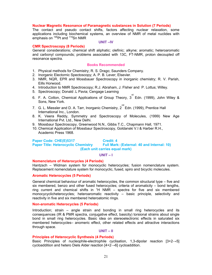#### **Nuclear Magnetic Resonance of Paramagnetic substances in Solution (7 Periods)**

The contact and pseudo contact shifts, factors affecting nuclear relaxation, some applications including biochemical systems, an overview of NMR of metal nuclides with emphasis on <sup>195</sup>Pt and <sup>119</sup>Sn NMR

#### **UNIT –IV**

#### **CMR Spectroscopy (8 Periods)**

General considerations; chemical shift aliphatic; olefinic; alkyne; aromatic; heteroaromatic and carbonyl compounds; problems associated with 13C, FT-NMR, proton decoupled off resonance spectra.

#### **Books Recommended**

- 1. Physical methods for Chemistry; R. S. Drago; Saunders Company.
- 2. Inorganic Electornic Spectoscopy; A. P. B. Lever; Elsevier.
- 3. NMR, NQR, EPR and Mossbauer Spectroscopy in inorganic chemistry; R. V. Parish, Eills Horwood.
- 4. Introduction to NMR Spectroscopy; R.J. Abraham, J. Flsher and P. Lottus; Willey.
- 5. Spectroscopy; Donald .L Pavia; Cengage Learning
- 6. F. A. Cotton, Chemical Applications of Group Theory,  $3^{^{\prime\prime}}$  Edn. (1999), John Wiley & Sons, New York.
- 7.  $\,$  G. L. Miessler and D. A. Tarr, Inorganic Chemistry,  $2^{nd}$  Edn. (1999), Prentice Hall International Inc., London.
- 8. K. Veera Reddy, Symmetry and Spectroscopy of Molecules, (1999) New Age International Pvt. Ltd., New Delhi.
- 9. Mossbaur Spectroscopy, Greenwood N.N., Gibbs T.C., Chapmann Hall, 1971.
- 10. Chemical Application of Mossbaur Spectroscopy, Goldanski V.I & Harber R.H., Academic Press 1968.

#### **Paper Code: CHE(E)5317 Credit: 4** Paper Title: Heterocyclic Chemistry Full Mark: (External: 40 and Internal: 10) **(Each unit carries equal mark)**

#### **UNIT – I**

#### **Nomenclature of Heterocycles (4 Periods)**

Hantzsch – Widman system for monocyclic heterocycles; fusion nomenclature system. Replacement nomenclature system for monocyclic, fused, spiro and bicyclic molecules.

#### **Aromatic Heterocycles (5 Periods)**

General chemical behaviour of aromatic heterocycles, the common structural type – five and six membered, benzo and other fused heterocycles; criteria of aromaticity – bond lengths, ring current and chemical shifts in  ${}^{1}H$  NMR  $-$  spectra for five and six membered monocycyclicheterocycles; heteroaromatic reactivity – basic principle, selectivity and reactivity in five and six membered heteroatomic rings.

#### **Non-aromatic Heterocycles (5 Periods)**

Introduction; strain – angle strain and bonding in small ring heterocycles and its consequences (IR & PMR spectra, conjugative effect, basicity) torsional strains about single bond in small ring heterocycles. Basic idea on stereoelectronic effects in saturated six membered heterocycles– anomeric effect, other related effects and attractive interactions through space.

#### **UNIT – II**

#### **Principles of Heterocyclic Synthesis (4 Periods)**

Basic Principles of nucleophile-electrophile cyclisation, 1,3-dipolar reaction  $[3+2\rightarrow5]$ cycloaddition and hetero Diels Alder reaction [4+2→6] cycloaddition.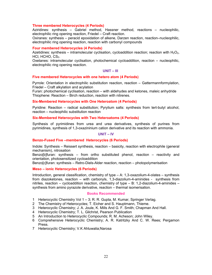#### **Three membered Heterocycles (4 Periods)**

Aziridines: synthesis – Gabriel method, Hassner method, reactions – nucleophilic, electrophilic ring opening reaction, Friedel – Craft reaction.

Oxiranes: synthesis – peracid epoxidation of alkene, Darzen reaction, reaction–nucleophilic, electrophilic ring opening reaction, reaction with carbonyl compounds

#### **Four membered Heterocycles (4 Periods)**

Azetidines: synthesis – intramolecular cyclisation, cycloaddition reaction; reaction with  $H_2O_2$ , HCl,  $HCHO, CS<sub>2</sub>$ .

Oxetanes: intramolecular cyclisation, photochemical cycloaddition, reaction – nucleophilic, electrophilic ring opening reaction.

#### **UNIT – III**

#### **Five membered Heterocycles with one hetero atom (4 Periods)**

Pyrrole: Orientation in electrophilic substitution reaction, reaction – Gattermannformylation, Friedel – Craft alkylation and acylation

Furan: photochemical cyclisation, reaction – with aldehydes and ketones, maleic anhydride Thiophene: Reaction – Birch reduction, reaction with nitrenes.

#### **Six-Membered Heterocycles with One Heteroatom (4 Periods)**

Pyridine: Reaction – radical substitution; Pyrylium salts: synthesis from tert-butyl alcohol, reaction – nucleophilic substitution reaction

#### **Six-Membered Heterocycles with Two Heteroatoms (4 Periods)**

Synthesis of pyrimidines from urea and urea derivatives, synthesis of purines from pyrimidines, synthesis of 1,3-oxazininium cation derivative and its reaction with ammonia.

#### **UNIT – IV**

#### **Benzo-Fused Five –membered Heterocycles (6 Periods)**

Indole: Synthesis – Reissert synthesis, reaction – basicity, reaction with electrophile (general mechanism), nitrosation

Benzo[b]furan: synthesis – from ortho substituted phenol, reaction – reactivity and orientation, photosensitized cycloaddition

Benzo[c]furan: synthesis – Retro-Diels-Alder reaction, reaction – photopolymerisation

#### **Meso – ionic Heterocycles (6 Periods)**

Introduction, general classification, chemistry of type – A: 1,3-oxazolium-4-olates – synthesis from diazoketones, reaction – with carbonyls, 1,3-diazolium-4-aminides - synthesis from nitriles, reaction – cycloaddition reaction, chemistry of type – B: 1,2-diazolium-4-aminides – synthesis from amino pyrazole derivative, reaction – thermal isomerisation.

#### **Books Recommended**

- 1 Heterocyclic Chemistry Vol 1 3; R. R. Gupta, M. Kumar, Springer Verlag.
- 2 The Chemistry of Heterocycles; T. Eicher and S. Hauptmann, Thieme.
- 3 Heterocyclic Chemistry; J. A. Joule, K. Mills And G. F. Smith; Chapman And Hall.
- 4 Heterocyclic Chemistry; T. L. Gilchrist, Pearson Publication
- 5 An Introduction to Heterocyclic Compounds; R. M. Acheson; John Wiley.
- 6 Comprehensive Heterocyclic Chemistry; A. R. Katritzky And C. W. Rees; Pergamon Press.
- 7 Heterocyclic Chemistry; V.K Ahluwalia;Narosa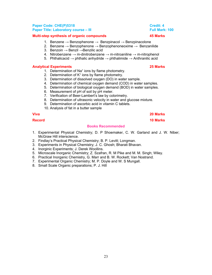### **Paper Code: CHE(P)5318 Credit: 4 Credit: 4 Credit: 4 Paper Title: Laboratory course – III Full Mark: 100 Contract Contract Paper Full Mark: 100**

### **Multi-step synthesis of organic compounds 45 Marks**

- 1. Benzene  $\rightarrow$  Benzophenone  $\rightarrow$  Benzpinacol  $\rightarrow$  Benzpinacolone
- 2. Benzene  $\rightarrow$  Benzophenone  $\rightarrow$  Benzophenoneoxime  $\rightarrow$  Benzanilide
- 3. Benzoin  $→$  Benzil  $→$  Benzilic acid
- 4. Nitrobenzene  $\rightarrow$  m-dinitrobenzene  $\rightarrow$  m-nitroaniline  $\rightarrow$  m-nitrophenol
- 5. Phthalicacid → phthalic anhydride → phthalimide → Anthranilic acid

## **Analytical Experiments 25 Marks**

- 1. Determination of Na<sup>+</sup> ions by flame photometry.
- 2. Determination of K<sup>+</sup> ions by flame photometry.
- 3. Determination of dissolved oxygen (DO) in water sample.
- 4. Determination of chemical oxygen demand (COD) in water samples.
- 5. Determination of biological oxygen demand (BOD) in water samples.
- 6. Measurement of pH of soil by pH meter.
- 7. Verification of Beer-Lambert's law by colorimetry.
- 8. Determination of ultrasonic velocity in water and glucose mixture.
- 9. Determination of ascorbic acid in vitamin C tablets.
- 10. Analysis of fat in a butter sample

**Viva 20 Marks** 

**Record 10 Marks** 

### **Books Recommended**

- 1. Experimental Physical Chemistry; D. P Shoemaker, C. W. Garland and J. W. Niber; McGraw Hill interscience.
- 2. Findlay's Practical Physical Chemistry; B. P. Levitt; Longman.
- 3. Experiments in Physical Chemistry; J. C. Ghosh; Bharati Bhavan.
- 4. Inorginic Experiments; J. Derek Woollins.
- 5. Microscale Inorganic Chemistry; Z. Szafran, R. M Pike and M. M. Singh; Wiley.
- 6. Practical Inorganic Chemistry, G. Marr and B. W. Rockett; Van Nostrand.
- 7. Experimental Organic Chemistry; M. P. Doyle and W. S Mungall.
- 8. Small Scale Organic preparations; P. J. Hill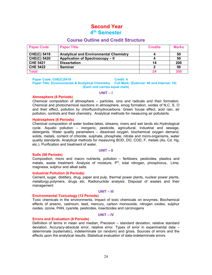# **Second Year**

# **4th Semester**

### **Course Outline and Credit Structure**

| <b>Paper Code</b>  | <b>Paper Title</b>                            | <b>Credits</b> | <b>Marks</b> |
|--------------------|-----------------------------------------------|----------------|--------------|
| <b>CHE(C) 5419</b> | <b>Analytical and Environmental Chemistry</b> |                | 50           |
| <b>CHE(C) 5420</b> | Application of Spectroscopy - II              |                | 50           |
| <b>CHE 5421</b>    | <b>Dissertation</b>                           | 14             | 200          |
| <b>CHE 5422</b>    | Seminar                                       |                | 50           |
| <b>Total</b>       |                                               | 24             | 350          |

#### Paper Code: CHE(C)5419 **Credit: 4**

**Paper Title: Environmental & Analytical Chemistry Full Mark: (External: 40 and Internal: 10) (Each unit carries equal mark)**

#### **UNIT – I**

#### **Atmosphere (6 Periods)**

Chemical composition of atmosphere – particles, ions and radicals and their formation. Chemical and photochemical reactions in atmosphere, smog formation, oxides of N,C, S, O and their effect, pollution by chlorfluorohydrocarbons. Green house effect, acid rain, air pollution, controls and their chemistry. Analytical methods for measuring air pollutants.

#### **Hydrosphere (8 Periods)**

Chemical composition of water bodies-lakes, streams, rivers and wet lands etc.Hydrological cycle. Aquatic pollution – inorganic, pesticide, agricultural, industrial and sewage, detergents. Water quality parameters – dissolved oxygen, biochemical oxygen demand, solids, metals, content of chloride, sulphate, phosphate, nitrate and micro-organisms, water quality standards. Analytical methods for measuring BOD, DO, COD, F, metals (As, Cd, Hg, etc.). Purification and treatment of water.

# **UNIT – II**

#### **Soils (06 Periods)**

Composition, micro and macro nutrients, pollution – fertilizers, pesticides, plastics and metals, waste treatment. Analysis of moisture, P<sup>H</sup>, total nitrogen, phosphorus, Lime, magnesia, sulphur and alkali salts.

#### **Industrial Pollution (6 Periods)**

Cement, sugar, distillery, drug, paper and pulp, thermal power plants, nuclear power plants, metallurgy.polymers, drugs etc. Radionuclide analysis. Disposal of wastes and their management

#### **UNIT – III**

#### **Environmental Toxicology (12 Periods)**

Toxic chemicals in the environments, Impact of toxic chemicals on enzymes, Biochemical effects of arsenic, cadmium, lead, mercury, carbon monooxide, nitrogen oxides, sulphur oxides, ozone, PAN, cyanide, pesticides, insecticides and carcinogens

#### **UNIT – IV**

#### **Errors and Evaluation (8 Periods)**

Definition of terms in mean and median, Precision – standard deviation, relative standard deviation. Accuracy-absolute error, relative error. Types of error in experimental data – determinate (systematic), indeterminate (or random) and gross. Sources of errors and the effects upon the analytical results. Statistical evaluation of data-indeterminate errors.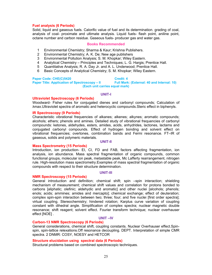#### **Fuel analysis (6 Periods)**

Solid, liquid and gaseous fuels. Calorific value of fuel and its determination. grading of coal, analysis of coal- proximate and ultimate analysis. Liquid fuels- flash point, aniline point, octane number and carbon residue. Gaseous fuels- producer gas and water gas.

#### **Books Recommended**

- 1 Environmental Chemistry; Sharma & Kaur; Krishna Publishers.
- 2 Environmental Chemistry; A. K. De; New age publishers
- 3 Environmental Pollution Analysis; S. M. Khopkar; Wiley Eastern.
- 4 Analytical Chemistry Principles and Techniques; L. G. Hargis; Prentice Hall.
- 5 Quantitative Analysis; R. A. Day Jr. and A. L. Underwood; Prentice Hall.
- 6 Basic Concepts of Analytical Chemistry; S. M. Khopkar; Wiley Eastern.

Paper Code: CHE(C)5420 **Credit: 4 Paper Title: Application of Spectroscopy – II Full Mark: (External: 40 and Internal: 10) (Each unit carries equal mark)** 

#### **UNIT-I**

#### **Ultraviolet Spectroscopy (6 Periods)**

Woodward- Fisher rules for conjugated dienes and carbonyl compounds; Calculation of λmax.Ultraviolet spectra of aromatic and heterocyclic compounds.Steric effect in biphenyls.

#### **IR Spectroscopy (9 Periods)**

Characteristic vibrational frequencies of alkanes; alkenes; alkynes; aromatic compounds; alcohols; ethers; phenols and amines. Detailed study of vibrational frequencies of carbonyl compounds: ketones, aldehydes, esters, amides, acids, anhydrides, lactones, lactams and conjugated carbonyl compounds. Effect of hydrogen bonding and solvent effect on vibrational frequencies; overtones, combination bands and Fermi resonance. FT–IR of gaseous, solids and polymeric materials.

#### **UNIT-II**

#### **Mass Spectrometry (15 Periods)**

Introduction, ion production- EI, CI, FD and FAB, factors affecting fragmentation, ion analysis, ion abundance. Mass spectral fragmentation of organic compounds, common functional groups, molecular ion peak, metastable peak, Mc Lafferty rearrangement, nitrogen rule. High-resolution mass spectrometry.Examples of mass spectral fragmentation of organic compounds with respect to their structure determination.

#### **UNIT-III**

#### **NMR Spectroscopy (15 Periods)**

General introduction and definition; chemical shift; spin –spin interaction; shielding mechanism of measurement; chemical shift values and correlation for protons bonded to carbons [aliphatic; olefinic; aldehydic and aromatic] and other nuclei [alcohols; phenols; enols; acids; ammines; amides and mercapto]; chemical exchange; effect of deuteration; complex spin-spin interaction between two; three; four; and five nuclei [first order spectra]; virtual coupling. Stereochemistry; hindered rotation; Karplus curve variation of coupling constant with dihedral angle. Simplification of complex spectra; nuclear magnetic double resonance; shift reagent; solvent effect. Fourier transform technique; nuclear overhauser effect [NOE] .

#### **UNIT –IV**

#### **Carbon-13 NMR Spectroscopy (6 Periods)**

General considerations, chemical shift, coupling constants. Nuclear Overhauser effect.Spinspin, spin-lattice relexations.Off resonance decoupling. DEPT. Interpretation of simple CMR spectra. 2 DNMR: COSY, NOESY and HETCOR

#### **Structure elucidation using spectral data (6 Periods)**

Structural problems based on combined spectroscopic techniques.